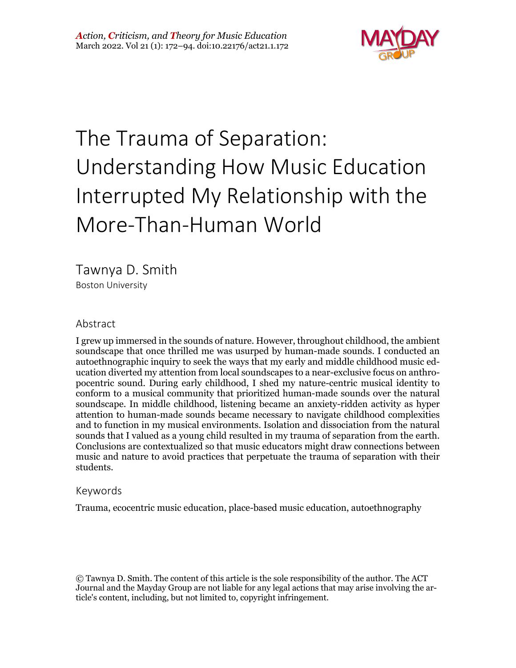

# The Trauma of Separation: Understanding How Music Education Interrupted My Relationship with the More-Than-Human World

Tawnya D. Smith Boston University

#### Abstract

I grew up immersed in the sounds of nature. However, throughout childhood, the ambient soundscape that once thrilled me was usurped by human-made sounds. I conducted an autoethnographic inquiry to seek the ways that my early and middle childhood music education diverted my attention from local soundscapes to a near-exclusive focus on anthropocentric sound. During early childhood, I shed my nature-centric musical identity to conform to a musical community that prioritized human-made sounds over the natural soundscape. In middle childhood, listening became an anxiety-ridden activity as hyper attention to human-made sounds became necessary to navigate childhood complexities and to function in my musical environments. Isolation and dissociation from the natural sounds that I valued as a young child resulted in my trauma of separation from the earth. Conclusions are contextualized so that music educators might draw connections between music and nature to avoid practices that perpetuate the trauma of separation with their students.

#### Keywords

Trauma, ecocentric music education, place-based music education, autoethnography

© Tawnya D. Smith. The content of this article is the sole responsibility of the author. The ACT Journal and the Mayday Group are not liable for any legal actions that may arise involving the article's content, including, but not limited to, copyright infringement.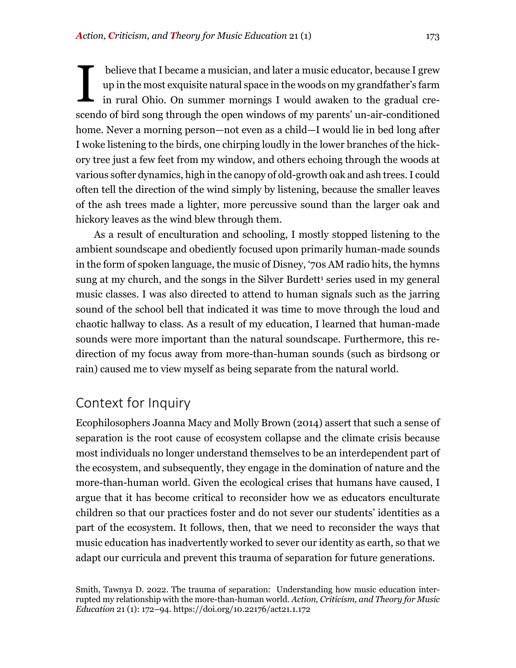believe that I became a musician, and later a music educator, because I grew up in the most exquisite natural space in the woods on my grandfather's farm in rural Ohio. On summer mornings I would awaken to the gradual crescendo of bird song through the open windows of my parents' un-air-conditioned home. Never a morning person—not even as a child—I would lie in bed long after I woke listening to the birds, one chirping loudly in the lower branches of the hickory tree just a few feet from my window, and others echoing through the woods at various softer dynamics, high in the canopy of old-growth oak and ash trees. I could often tell the direction of the wind simply by listening, because the smaller leaves of the ash trees made a lighter, more percussive sound than the larger oak and hickory leaves as the wind blew through them. I

As a result of enculturation and schooling, I mostly stopped listening to the ambient soundscape and obediently focused upon primarily human-made sounds in the form of spoken language, the music of Disney, '70s AM radio hits, the hymns sung at my church, and the songs in the Silver Burdett<sup>1</sup> series used in my general music classes. I was also directed to attend to human signals such as the jarring sound of the school bell that indicated it was time to move through the loud and chaotic hallway to class. As a result of my education, I learned that human-made sounds were more important than the natural soundscape. Furthermore, this redirection of my focus away from more-than-human sounds (such as birdsong or rain) caused me to view myself as being separate from the natural world.

## Context for Inquiry

Ecophilosophers Joanna Macy and Molly Brown (2014) assert that such a sense of separation is the root cause of ecosystem collapse and the climate crisis because most individuals no longer understand themselves to be an interdependent part of the ecosystem, and subsequently, they engage in the domination of nature and the more-than-human world. Given the ecological crises that humans have caused, I argue that it has become critical to reconsider how we as educators enculturate children so that our practices foster and do not sever our students' identities as a part of the ecosystem. It follows, then, that we need to reconsider the ways that music education has inadvertently worked to sever our identity as earth, so that we adapt our curricula and prevent this trauma of separation for future generations.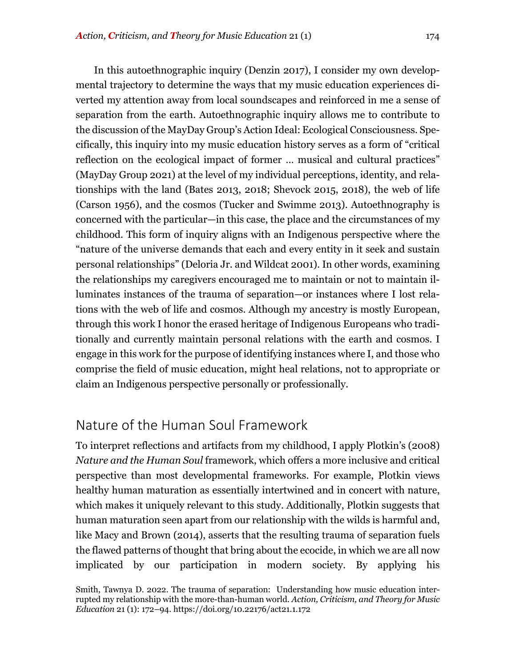In this autoethnographic inquiry (Denzin 2017), I consider my own developmental trajectory to determine the ways that my music education experiences diverted my attention away from local soundscapes and reinforced in me a sense of separation from the earth. Autoethnographic inquiry allows me to contribute to the discussion of the MayDay Group's Action Ideal: Ecological Consciousness. Specifically, this inquiry into my music education history serves as a form of "critical reflection on the ecological impact of former … musical and cultural practices" (MayDay Group 2021) at the level of my individual perceptions, identity, and relationships with the land (Bates 2013, 2018; Shevock 2015, 2018), the web of life (Carson 1956), and the cosmos (Tucker and Swimme 2013). Autoethnography is concerned with the particular—in this case, the place and the circumstances of my childhood. This form of inquiry aligns with an Indigenous perspective where the "nature of the universe demands that each and every entity in it seek and sustain personal relationships" (Deloria Jr. and Wildcat 2001). In other words, examining the relationships my caregivers encouraged me to maintain or not to maintain illuminates instances of the trauma of separation—or instances where I lost relations with the web of life and cosmos. Although my ancestry is mostly European, through this work I honor the erased heritage of Indigenous Europeans who traditionally and currently maintain personal relations with the earth and cosmos. I engage in this work for the purpose of identifying instances where I, and those who comprise the field of music education, might heal relations, not to appropriate or claim an Indigenous perspective personally or professionally.

# Nature of the Human Soul Framework

To interpret reflections and artifacts from my childhood, I apply Plotkin's (2008) *Nature and the Human Soul* framework, which offers a more inclusive and critical perspective than most developmental frameworks. For example, Plotkin views healthy human maturation as essentially intertwined and in concert with nature, which makes it uniquely relevant to this study. Additionally, Plotkin suggests that human maturation seen apart from our relationship with the wilds is harmful and, like Macy and Brown (2014), asserts that the resulting trauma of separation fuels the flawed patterns of thought that bring about the ecocide, in which we are all now implicated by our participation in modern society. By applying his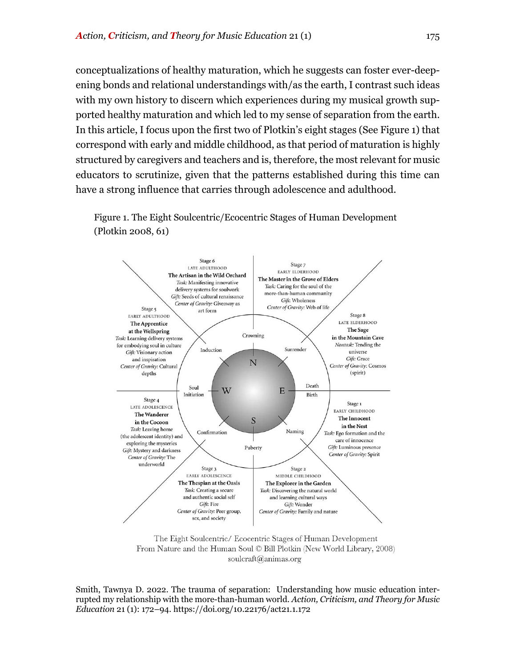conceptualizations of healthy maturation, which he suggests can foster ever-deepening bonds and relational understandings with/as the earth, I contrast such ideas with my own history to discern which experiences during my musical growth supported healthy maturation and which led to my sense of separation from the earth. In this article, I focus upon the first two of Plotkin's eight stages (See Figure 1) that correspond with early and middle childhood, as that period of maturation is highly structured by caregivers and teachers and is, therefore, the most relevant for music educators to scrutinize, given that the patterns established during this time can have a strong influence that carries through adolescence and adulthood.

Figure 1. The Eight Soulcentric/Ecocentric Stages of Human Development (Plotkin 2008, 61)



The Eight Soulcentric/ Ecocentric Stages of Human Development From Nature and the Human Soul © Bill Plotkin (New World Library, 2008) soulcraft@animas.org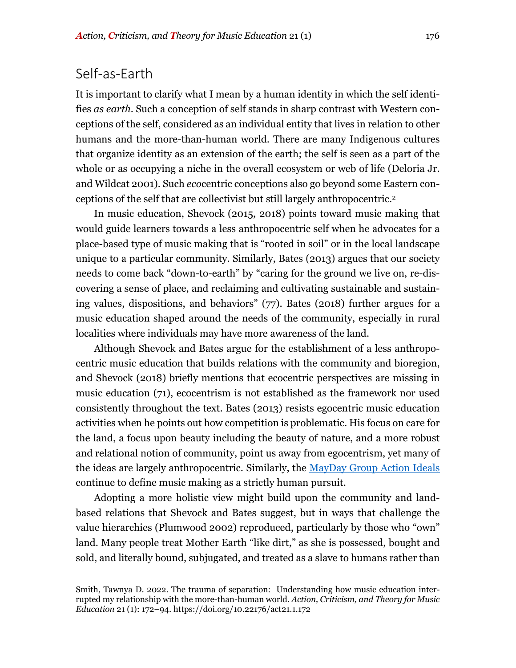## Self-as-Earth

It is important to clarify what I mean by a human identity in which the self identifies *as earth*. Such a conception of self stands in sharp contrast with Western conceptions of the self, considered as an individual entity that lives in relation to other humans and the more-than-human world. There are many Indigenous cultures that organize identity as an extension of the earth; the self is seen as a part of the whole or as occupying a niche in the overall ecosystem or web of life (Deloria Jr. and Wildcat 2001). Such *eco*centric conceptions also go beyond some Eastern conceptions of the self that are collectivist but still largely anthropocentric.2

In music education, Shevock (2015, 2018) points toward music making that would guide learners towards a less anthropocentric self when he advocates for a place-based type of music making that is "rooted in soil" or in the local landscape unique to a particular community. Similarly, Bates (2013) argues that our society needs to come back "down-to-earth" by "caring for the ground we live on, re-discovering a sense of place, and reclaiming and cultivating sustainable and sustaining values, dispositions, and behaviors" (77). Bates (2018) further argues for a music education shaped around the needs of the community, especially in rural localities where individuals may have more awareness of the land.

Although Shevock and Bates argue for the establishment of a less anthropocentric music education that builds relations with the community and bioregion, and Shevock (2018) briefly mentions that ecocentric perspectives are missing in music education (71), ecocentrism is not established as the framework nor used consistently throughout the text. Bates (2013) resists egocentric music education activities when he points out how competition is problematic. His focus on care for the land, a focus upon beauty including the beauty of nature, and a more robust and relational notion of community, point us away from egocentrism, yet many of the ideas are largely anthropocentric. Similarly, the MayDay Group Action Ideals continue to define music making as a strictly human pursuit.

Adopting a more holistic view might build upon the community and landbased relations that Shevock and Bates suggest, but in ways that challenge the value hierarchies (Plumwood 2002) reproduced, particularly by those who "own" land. Many people treat Mother Earth "like dirt," as she is possessed, bought and sold, and literally bound, subjugated, and treated as a slave to humans rather than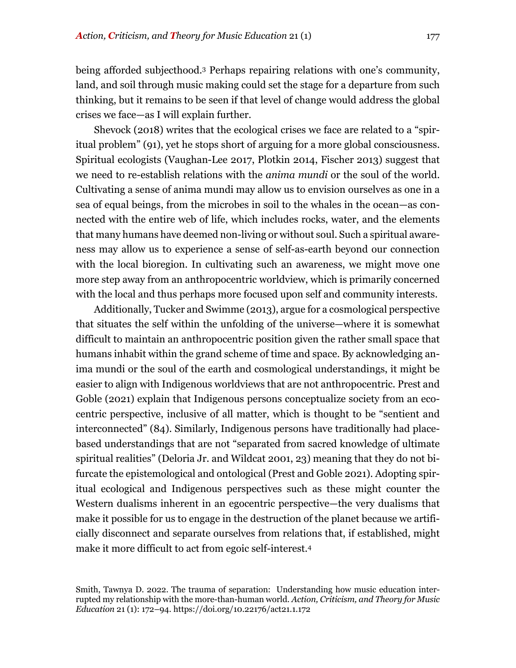being afforded subjecthood.3 Perhaps repairing relations with one's community, land, and soil through music making could set the stage for a departure from such thinking, but it remains to be seen if that level of change would address the global crises we face—as I will explain further.

Shevock (2018) writes that the ecological crises we face are related to a "spiritual problem" (91), yet he stops short of arguing for a more global consciousness. Spiritual ecologists (Vaughan-Lee 2017, Plotkin 2014, Fischer 2013) suggest that we need to re-establish relations with the *anima mundi* or the soul of the world. Cultivating a sense of anima mundi may allow us to envision ourselves as one in a sea of equal beings, from the microbes in soil to the whales in the ocean—as connected with the entire web of life, which includes rocks, water, and the elements that many humans have deemed non-living or without soul. Such a spiritual awareness may allow us to experience a sense of self-as-earth beyond our connection with the local bioregion. In cultivating such an awareness, we might move one more step away from an anthropocentric worldview, which is primarily concerned with the local and thus perhaps more focused upon self and community interests.

Additionally, Tucker and Swimme (2013), argue for a cosmological perspective that situates the self within the unfolding of the universe—where it is somewhat difficult to maintain an anthropocentric position given the rather small space that humans inhabit within the grand scheme of time and space. By acknowledging anima mundi or the soul of the earth and cosmological understandings, it might be easier to align with Indigenous worldviews that are not anthropocentric. Prest and Goble (2021) explain that Indigenous persons conceptualize society from an ecocentric perspective, inclusive of all matter, which is thought to be "sentient and interconnected" (84). Similarly, Indigenous persons have traditionally had placebased understandings that are not "separated from sacred knowledge of ultimate spiritual realities" (Deloria Jr. and Wildcat 2001, 23) meaning that they do not bifurcate the epistemological and ontological (Prest and Goble 2021). Adopting spiritual ecological and Indigenous perspectives such as these might counter the Western dualisms inherent in an egocentric perspective—the very dualisms that make it possible for us to engage in the destruction of the planet because we artificially disconnect and separate ourselves from relations that, if established, might make it more difficult to act from egoic self-interest.4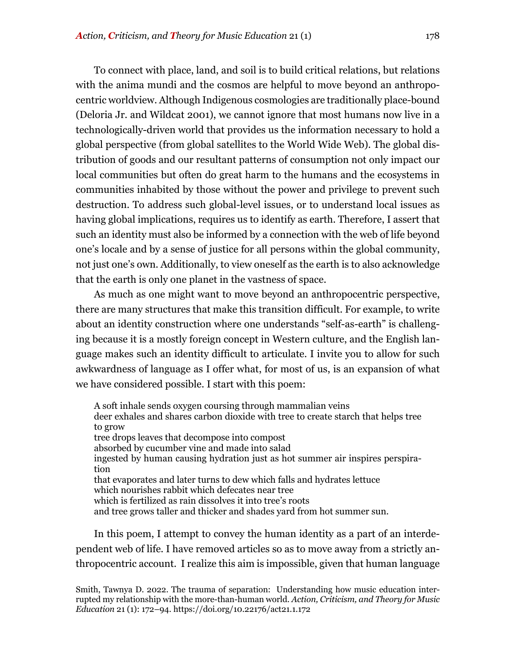To connect with place, land, and soil is to build critical relations, but relations with the anima mundi and the cosmos are helpful to move beyond an anthropocentric worldview. Although Indigenous cosmologies are traditionally place-bound (Deloria Jr. and Wildcat 2001), we cannot ignore that most humans now live in a technologically-driven world that provides us the information necessary to hold a global perspective (from global satellites to the World Wide Web). The global distribution of goods and our resultant patterns of consumption not only impact our local communities but often do great harm to the humans and the ecosystems in communities inhabited by those without the power and privilege to prevent such destruction. To address such global-level issues, or to understand local issues as having global implications, requires us to identify as earth. Therefore, I assert that such an identity must also be informed by a connection with the web of life beyond one's locale and by a sense of justice for all persons within the global community, not just one's own. Additionally, to view oneself as the earth is to also acknowledge that the earth is only one planet in the vastness of space.

As much as one might want to move beyond an anthropocentric perspective, there are many structures that make this transition difficult. For example, to write about an identity construction where one understands "self-as-earth" is challenging because it is a mostly foreign concept in Western culture, and the English language makes such an identity difficult to articulate. I invite you to allow for such awkwardness of language as I offer what, for most of us, is an expansion of what we have considered possible. I start with this poem:

A soft inhale sends oxygen coursing through mammalian veins deer exhales and shares carbon dioxide with tree to create starch that helps tree to grow tree drops leaves that decompose into compost absorbed by cucumber vine and made into salad ingested by human causing hydration just as hot summer air inspires perspiration that evaporates and later turns to dew which falls and hydrates lettuce which nourishes rabbit which defecates near tree which is fertilized as rain dissolves it into tree's roots and tree grows taller and thicker and shades yard from hot summer sun.

In this poem, I attempt to convey the human identity as a part of an interdependent web of life. I have removed articles so as to move away from a strictly anthropocentric account. I realize this aim is impossible, given that human language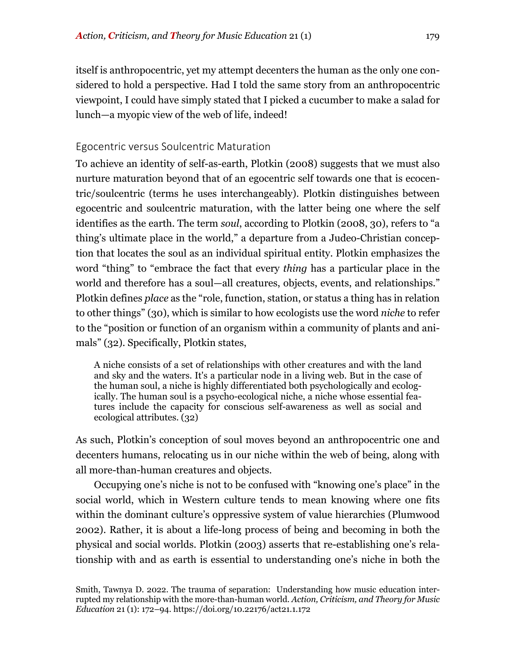itself is anthropocentric, yet my attempt decenters the human as the only one considered to hold a perspective. Had I told the same story from an anthropocentric viewpoint, I could have simply stated that I picked a cucumber to make a salad for lunch—a myopic view of the web of life, indeed!

#### Egocentric versus Soulcentric Maturation

To achieve an identity of self-as-earth, Plotkin (2008) suggests that we must also nurture maturation beyond that of an egocentric self towards one that is ecocentric/soulcentric (terms he uses interchangeably). Plotkin distinguishes between egocentric and soulcentric maturation, with the latter being one where the self identifies as the earth. The term *soul*, according to Plotkin (2008, 30), refers to "a thing's ultimate place in the world," a departure from a Judeo-Christian conception that locates the soul as an individual spiritual entity. Plotkin emphasizes the word "thing" to "embrace the fact that every *thing* has a particular place in the world and therefore has a soul—all creatures, objects, events, and relationships." Plotkin defines *place* as the "role, function, station, or status a thing has in relation to other things" (30), which is similar to how ecologists use the word *niche* to refer to the "position or function of an organism within a community of plants and animals" (32). Specifically, Plotkin states,

A niche consists of a set of relationships with other creatures and with the land and sky and the waters. It's a particular node in a living web. But in the case of the human soul, a niche is highly differentiated both psychologically and ecologically. The human soul is a psycho-ecological niche, a niche whose essential features include the capacity for conscious self-awareness as well as social and ecological attributes. (32)

As such, Plotkin's conception of soul moves beyond an anthropocentric one and decenters humans, relocating us in our niche within the web of being, along with all more-than-human creatures and objects.

Occupying one's niche is not to be confused with "knowing one's place" in the social world, which in Western culture tends to mean knowing where one fits within the dominant culture's oppressive system of value hierarchies (Plumwood 2002). Rather, it is about a life-long process of being and becoming in both the physical and social worlds. Plotkin (2003) asserts that re-establishing one's relationship with and as earth is essential to understanding one's niche in both the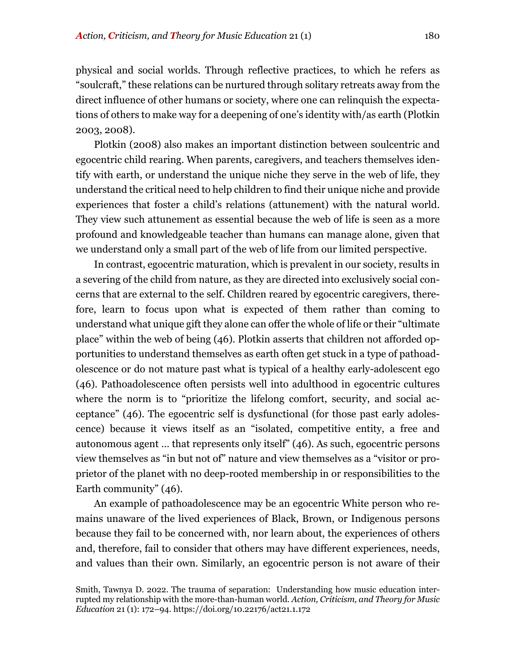physical and social worlds. Through reflective practices, to which he refers as "soulcraft," these relations can be nurtured through solitary retreats away from the direct influence of other humans or society, where one can relinquish the expectations of others to make way for a deepening of one's identity with/as earth (Plotkin 2003, 2008).

Plotkin (2008) also makes an important distinction between soulcentric and egocentric child rearing. When parents, caregivers, and teachers themselves identify with earth, or understand the unique niche they serve in the web of life, they understand the critical need to help children to find their unique niche and provide experiences that foster a child's relations (attunement) with the natural world. They view such attunement as essential because the web of life is seen as a more profound and knowledgeable teacher than humans can manage alone, given that we understand only a small part of the web of life from our limited perspective.

In contrast, egocentric maturation, which is prevalent in our society, results in a severing of the child from nature, as they are directed into exclusively social concerns that are external to the self. Children reared by egocentric caregivers, therefore, learn to focus upon what is expected of them rather than coming to understand what unique gift they alone can offer the whole of life or their "ultimate place" within the web of being (46). Plotkin asserts that children not afforded opportunities to understand themselves as earth often get stuck in a type of pathoadolescence or do not mature past what is typical of a healthy early-adolescent ego (46). Pathoadolescence often persists well into adulthood in egocentric cultures where the norm is to "prioritize the lifelong comfort, security, and social acceptance" (46). The egocentric self is dysfunctional (for those past early adolescence) because it views itself as an "isolated, competitive entity, a free and autonomous agent … that represents only itself" (46). As such, egocentric persons view themselves as "in but not of" nature and view themselves as a "visitor or proprietor of the planet with no deep-rooted membership in or responsibilities to the Earth community" (46).

An example of pathoadolescence may be an egocentric White person who remains unaware of the lived experiences of Black, Brown, or Indigenous persons because they fail to be concerned with, nor learn about, the experiences of others and, therefore, fail to consider that others may have different experiences, needs, and values than their own. Similarly, an egocentric person is not aware of their

Smith, Tawnya D. 2022. The trauma of separation: Understanding how music education interrupted my relationship with the more-than-human world. *Action, Criticism, and Theory for Music Education* 21 (1): 172–94. https://doi.org/10.22176/act21.1.172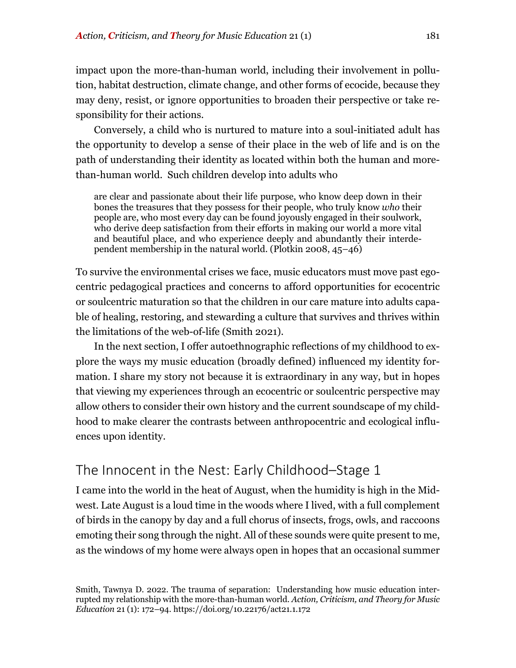impact upon the more-than-human world, including their involvement in pollution, habitat destruction, climate change, and other forms of ecocide, because they may deny, resist, or ignore opportunities to broaden their perspective or take responsibility for their actions.

Conversely, a child who is nurtured to mature into a soul-initiated adult has the opportunity to develop a sense of their place in the web of life and is on the path of understanding their identity as located within both the human and morethan-human world. Such children develop into adults who

are clear and passionate about their life purpose, who know deep down in their bones the treasures that they possess for their people, who truly know *who* their people are, who most every day can be found joyously engaged in their soulwork, who derive deep satisfaction from their efforts in making our world a more vital and beautiful place, and who experience deeply and abundantly their interdependent membership in the natural world. (Plotkin 2008, 45–46)

To survive the environmental crises we face, music educators must move past egocentric pedagogical practices and concerns to afford opportunities for ecocentric or soulcentric maturation so that the children in our care mature into adults capable of healing, restoring, and stewarding a culture that survives and thrives within the limitations of the web-of-life (Smith 2021).

In the next section, I offer autoethnographic reflections of my childhood to explore the ways my music education (broadly defined) influenced my identity formation. I share my story not because it is extraordinary in any way, but in hopes that viewing my experiences through an ecocentric or soulcentric perspective may allow others to consider their own history and the current soundscape of my childhood to make clearer the contrasts between anthropocentric and ecological influences upon identity.

# The Innocent in the Nest: Early Childhood–Stage 1

I came into the world in the heat of August, when the humidity is high in the Midwest. Late August is a loud time in the woods where I lived, with a full complement of birds in the canopy by day and a full chorus of insects, frogs, owls, and raccoons emoting their song through the night. All of these sounds were quite present to me, as the windows of my home were always open in hopes that an occasional summer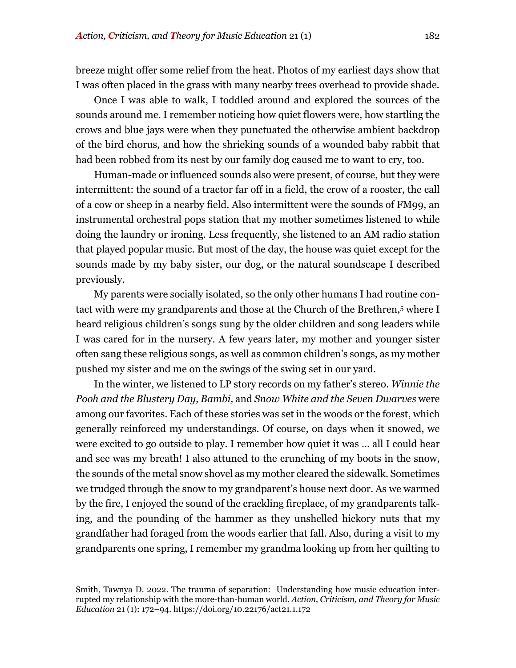breeze might offer some relief from the heat. Photos of my earliest days show that I was often placed in the grass with many nearby trees overhead to provide shade.

Once I was able to walk, I toddled around and explored the sources of the sounds around me. I remember noticing how quiet flowers were, how startling the crows and blue jays were when they punctuated the otherwise ambient backdrop of the bird chorus, and how the shrieking sounds of a wounded baby rabbit that had been robbed from its nest by our family dog caused me to want to cry, too.

Human-made or influenced sounds also were present, of course, but they were intermittent: the sound of a tractor far off in a field, the crow of a rooster, the call of a cow or sheep in a nearby field. Also intermittent were the sounds of FM99, an instrumental orchestral pops station that my mother sometimes listened to while doing the laundry or ironing. Less frequently, she listened to an AM radio station that played popular music. But most of the day, the house was quiet except for the sounds made by my baby sister, our dog, or the natural soundscape I described previously.

My parents were socially isolated, so the only other humans I had routine contact with were my grandparents and those at the Church of the Brethren,<sup>5</sup> where I heard religious children's songs sung by the older children and song leaders while I was cared for in the nursery. A few years later, my mother and younger sister often sang these religious songs, as well as common children's songs, as my mother pushed my sister and me on the swings of the swing set in our yard.

In the winter, we listened to LP story records on my father's stereo. *Winnie the Pooh and the Blustery Day, Bambi,* and *Snow White and the Seven Dwarves* were among our favorites. Each of these stories was set in the woods or the forest, which generally reinforced my understandings. Of course, on days when it snowed, we were excited to go outside to play. I remember how quiet it was … all I could hear and see was my breath! I also attuned to the crunching of my boots in the snow, the sounds of the metal snow shovel as my mother cleared the sidewalk. Sometimes we trudged through the snow to my grandparent's house next door. As we warmed by the fire, I enjoyed the sound of the crackling fireplace, of my grandparents talking, and the pounding of the hammer as they unshelled hickory nuts that my grandfather had foraged from the woods earlier that fall. Also, during a visit to my grandparents one spring, I remember my grandma looking up from her quilting to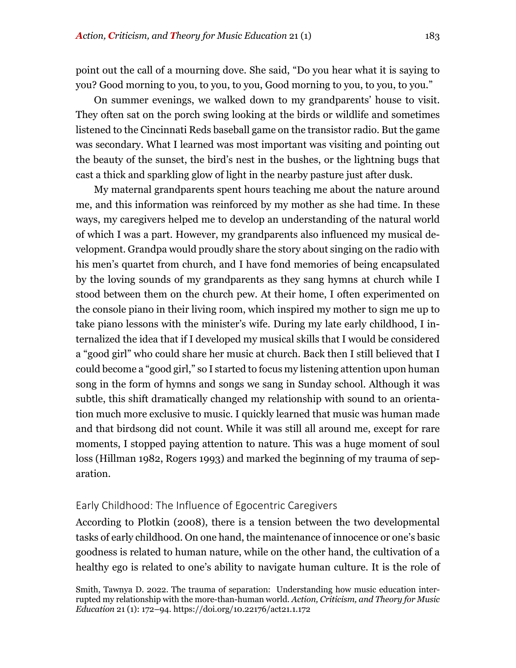point out the call of a mourning dove. She said, "Do you hear what it is saying to you? Good morning to you, to you, to you, Good morning to you, to you, to you."

On summer evenings, we walked down to my grandparents' house to visit. They often sat on the porch swing looking at the birds or wildlife and sometimes listened to the Cincinnati Reds baseball game on the transistor radio. But the game was secondary. What I learned was most important was visiting and pointing out the beauty of the sunset, the bird's nest in the bushes, or the lightning bugs that cast a thick and sparkling glow of light in the nearby pasture just after dusk.

My maternal grandparents spent hours teaching me about the nature around me, and this information was reinforced by my mother as she had time. In these ways, my caregivers helped me to develop an understanding of the natural world of which I was a part. However, my grandparents also influenced my musical development. Grandpa would proudly share the story about singing on the radio with his men's quartet from church, and I have fond memories of being encapsulated by the loving sounds of my grandparents as they sang hymns at church while I stood between them on the church pew. At their home, I often experimented on the console piano in their living room, which inspired my mother to sign me up to take piano lessons with the minister's wife. During my late early childhood, I internalized the idea that if I developed my musical skills that I would be considered a "good girl" who could share her music at church. Back then I still believed that I could become a "good girl," so I started to focus my listening attention upon human song in the form of hymns and songs we sang in Sunday school. Although it was subtle, this shift dramatically changed my relationship with sound to an orientation much more exclusive to music. I quickly learned that music was human made and that birdsong did not count. While it was still all around me, except for rare moments, I stopped paying attention to nature. This was a huge moment of soul loss (Hillman 1982, Rogers 1993) and marked the beginning of my trauma of separation.

#### Early Childhood: The Influence of Egocentric Caregivers

According to Plotkin (2008), there is a tension between the two developmental tasks of early childhood. On one hand, the maintenance of innocence or one's basic goodness is related to human nature, while on the other hand, the cultivation of a healthy ego is related to one's ability to navigate human culture. It is the role of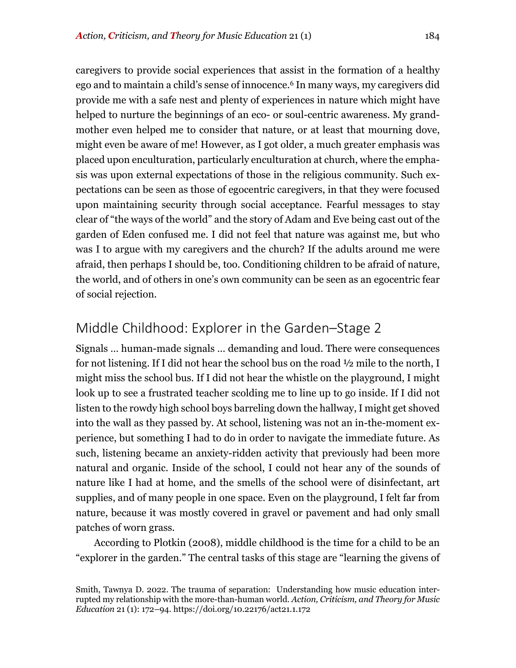caregivers to provide social experiences that assist in the formation of a healthy ego and to maintain a child's sense of innocence.<sup>6</sup> In many ways, my caregivers did provide me with a safe nest and plenty of experiences in nature which might have helped to nurture the beginnings of an eco- or soul-centric awareness. My grandmother even helped me to consider that nature, or at least that mourning dove, might even be aware of me! However, as I got older, a much greater emphasis was placed upon enculturation, particularly enculturation at church, where the emphasis was upon external expectations of those in the religious community. Such expectations can be seen as those of egocentric caregivers, in that they were focused upon maintaining security through social acceptance. Fearful messages to stay clear of "the ways of the world" and the story of Adam and Eve being cast out of the garden of Eden confused me. I did not feel that nature was against me, but who was I to argue with my caregivers and the church? If the adults around me were afraid, then perhaps I should be, too. Conditioning children to be afraid of nature, the world, and of others in one's own community can be seen as an egocentric fear of social rejection.

## Middle Childhood: Explorer in the Garden–Stage 2

Signals … human-made signals … demanding and loud. There were consequences for not listening. If I did not hear the school bus on the road ½ mile to the north, I might miss the school bus. If I did not hear the whistle on the playground, I might look up to see a frustrated teacher scolding me to line up to go inside. If I did not listen to the rowdy high school boys barreling down the hallway, I might get shoved into the wall as they passed by. At school, listening was not an in-the-moment experience, but something I had to do in order to navigate the immediate future. As such, listening became an anxiety-ridden activity that previously had been more natural and organic. Inside of the school, I could not hear any of the sounds of nature like I had at home, and the smells of the school were of disinfectant, art supplies, and of many people in one space. Even on the playground, I felt far from nature, because it was mostly covered in gravel or pavement and had only small patches of worn grass.

According to Plotkin (2008), middle childhood is the time for a child to be an "explorer in the garden." The central tasks of this stage are "learning the givens of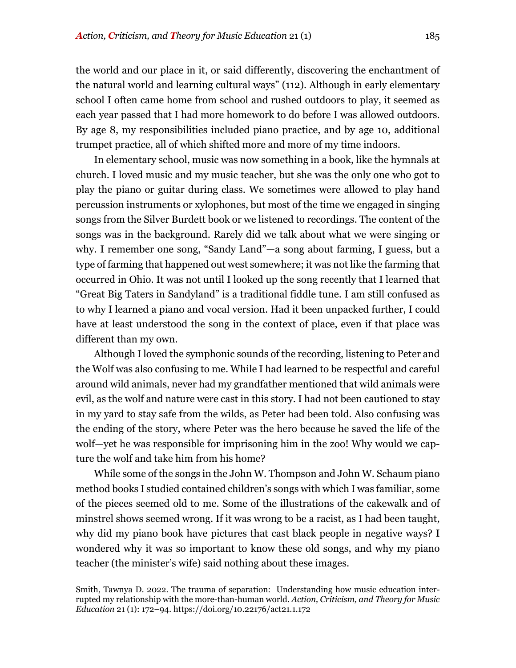the world and our place in it, or said differently, discovering the enchantment of the natural world and learning cultural ways" (112). Although in early elementary school I often came home from school and rushed outdoors to play, it seemed as each year passed that I had more homework to do before I was allowed outdoors. By age 8, my responsibilities included piano practice, and by age 10, additional trumpet practice, all of which shifted more and more of my time indoors.

In elementary school, music was now something in a book, like the hymnals at church. I loved music and my music teacher, but she was the only one who got to play the piano or guitar during class. We sometimes were allowed to play hand percussion instruments or xylophones, but most of the time we engaged in singing songs from the Silver Burdett book or we listened to recordings. The content of the songs was in the background. Rarely did we talk about what we were singing or why. I remember one song, "Sandy Land"—a song about farming, I guess, but a type of farming that happened out west somewhere; it was not like the farming that occurred in Ohio. It was not until I looked up the song recently that I learned that "Great Big Taters in Sandyland" is a traditional fiddle tune. I am still confused as to why I learned a piano and vocal version. Had it been unpacked further, I could have at least understood the song in the context of place, even if that place was different than my own.

Although I loved the symphonic sounds of the recording, listening to Peter and the Wolf was also confusing to me. While I had learned to be respectful and careful around wild animals, never had my grandfather mentioned that wild animals were evil, as the wolf and nature were cast in this story. I had not been cautioned to stay in my yard to stay safe from the wilds, as Peter had been told. Also confusing was the ending of the story, where Peter was the hero because he saved the life of the wolf—yet he was responsible for imprisoning him in the zoo! Why would we capture the wolf and take him from his home?

While some of the songs in the John W. Thompson and John W. Schaum piano method books I studied contained children's songs with which I was familiar, some of the pieces seemed old to me. Some of the illustrations of the cakewalk and of minstrel shows seemed wrong. If it was wrong to be a racist, as I had been taught, why did my piano book have pictures that cast black people in negative ways? I wondered why it was so important to know these old songs, and why my piano teacher (the minister's wife) said nothing about these images.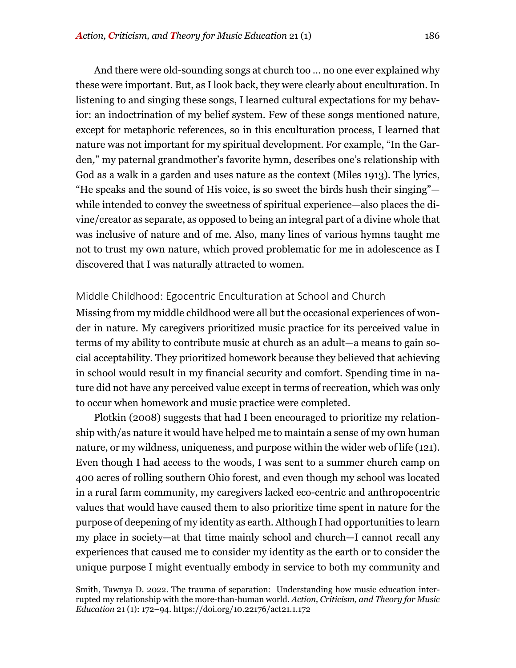And there were old-sounding songs at church too … no one ever explained why these were important. But, as I look back, they were clearly about enculturation. In listening to and singing these songs, I learned cultural expectations for my behavior: an indoctrination of my belief system. Few of these songs mentioned nature, except for metaphoric references, so in this enculturation process, I learned that nature was not important for my spiritual development. For example, "In the Garden*,*" my paternal grandmother's favorite hymn, describes one's relationship with God as a walk in a garden and uses nature as the context (Miles 1913). The lyrics, "He speaks and the sound of His voice, is so sweet the birds hush their singing" while intended to convey the sweetness of spiritual experience—also places the divine/creator as separate, as opposed to being an integral part of a divine whole that was inclusive of nature and of me. Also, many lines of various hymns taught me not to trust my own nature, which proved problematic for me in adolescence as I discovered that I was naturally attracted to women.

#### Middle Childhood: Egocentric Enculturation at School and Church

Missing from my middle childhood were all but the occasional experiences of wonder in nature. My caregivers prioritized music practice for its perceived value in terms of my ability to contribute music at church as an adult—a means to gain social acceptability. They prioritized homework because they believed that achieving in school would result in my financial security and comfort. Spending time in nature did not have any perceived value except in terms of recreation, which was only to occur when homework and music practice were completed.

Plotkin (2008) suggests that had I been encouraged to prioritize my relationship with/as nature it would have helped me to maintain a sense of my own human nature, or my wildness, uniqueness, and purpose within the wider web of life (121). Even though I had access to the woods, I was sent to a summer church camp on 400 acres of rolling southern Ohio forest, and even though my school was located in a rural farm community, my caregivers lacked eco-centric and anthropocentric values that would have caused them to also prioritize time spent in nature for the purpose of deepening of my identity as earth. Although I had opportunities to learn my place in society—at that time mainly school and church—I cannot recall any experiences that caused me to consider my identity as the earth or to consider the unique purpose I might eventually embody in service to both my community and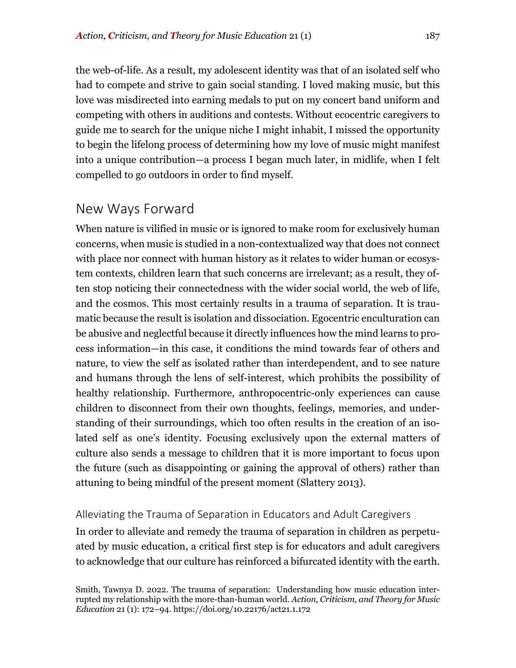the web-of-life. As a result, my adolescent identity was that of an isolated self who had to compete and strive to gain social standing. I loved making music, but this love was misdirected into earning medals to put on my concert band uniform and competing with others in auditions and contests. Without ecocentric caregivers to guide me to search for the unique niche I might inhabit, I missed the opportunity to begin the lifelong process of determining how my love of music might manifest into a unique contribution—a process I began much later, in midlife, when I felt compelled to go outdoors in order to find myself.

## New Ways Forward

When nature is vilified in music or is ignored to make room for exclusively human concerns, when music is studied in a non-contextualized way that does not connect with place nor connect with human history as it relates to wider human or ecosystem contexts, children learn that such concerns are irrelevant; as a result, they often stop noticing their connectedness with the wider social world, the web of life, and the cosmos. This most certainly results in a trauma of separation. It is traumatic because the result is isolation and dissociation. Egocentric enculturation can be abusive and neglectful because it directly influences how the mind learns to process information—in this case, it conditions the mind towards fear of others and nature, to view the self as isolated rather than interdependent, and to see nature and humans through the lens of self-interest, which prohibits the possibility of healthy relationship. Furthermore, anthropocentric-only experiences can cause children to disconnect from their own thoughts, feelings, memories, and understanding of their surroundings, which too often results in the creation of an isolated self as one's identity. Focusing exclusively upon the external matters of culture also sends a message to children that it is more important to focus upon the future (such as disappointing or gaining the approval of others) rather than attuning to being mindful of the present moment (Slattery 2013).

#### Alleviating the Trauma of Separation in Educators and Adult Caregivers

In order to alleviate and remedy the trauma of separation in children as perpetuated by music education, a critical first step is for educators and adult caregivers to acknowledge that our culture has reinforced a bifurcated identity with the earth.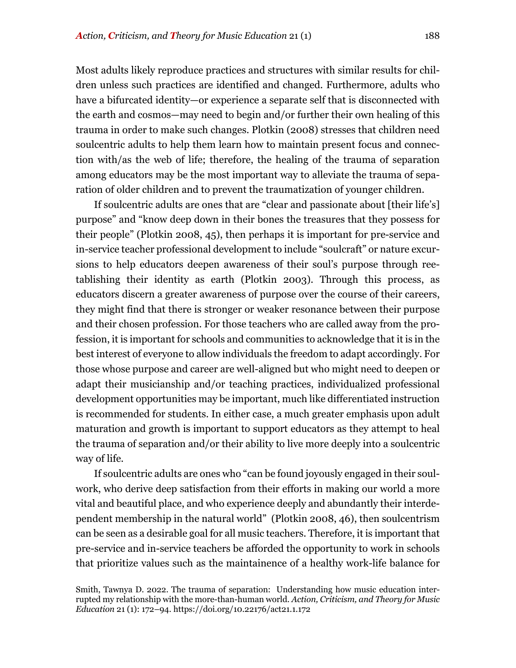Most adults likely reproduce practices and structures with similar results for children unless such practices are identified and changed. Furthermore, adults who have a bifurcated identity—or experience a separate self that is disconnected with the earth and cosmos—may need to begin and/or further their own healing of this trauma in order to make such changes. Plotkin (2008) stresses that children need soulcentric adults to help them learn how to maintain present focus and connection with/as the web of life; therefore, the healing of the trauma of separation among educators may be the most important way to alleviate the trauma of separation of older children and to prevent the traumatization of younger children.

If soulcentric adults are ones that are "clear and passionate about [their life's] purpose" and "know deep down in their bones the treasures that they possess for their people" (Plotkin 2008, 45), then perhaps it is important for pre-service and in-service teacher professional development to include "soulcraft" or nature excursions to help educators deepen awareness of their soul's purpose through reetablishing their identity as earth (Plotkin 2003). Through this process, as educators discern a greater awareness of purpose over the course of their careers, they might find that there is stronger or weaker resonance between their purpose and their chosen profession. For those teachers who are called away from the profession, it is important for schools and communities to acknowledge that it is in the best interest of everyone to allow individuals the freedom to adapt accordingly. For those whose purpose and career are well-aligned but who might need to deepen or adapt their musicianship and/or teaching practices, individualized professional development opportunities may be important, much like differentiated instruction is recommended for students. In either case, a much greater emphasis upon adult maturation and growth is important to support educators as they attempt to heal the trauma of separation and/or their ability to live more deeply into a soulcentric way of life.

If soulcentric adults are ones who "can be found joyously engaged in their soulwork, who derive deep satisfaction from their efforts in making our world a more vital and beautiful place, and who experience deeply and abundantly their interdependent membership in the natural world" (Plotkin 2008, 46), then soulcentrism can be seen as a desirable goal for all music teachers. Therefore, it is important that pre-service and in-service teachers be afforded the opportunity to work in schools that prioritize values such as the maintainence of a healthy work-life balance for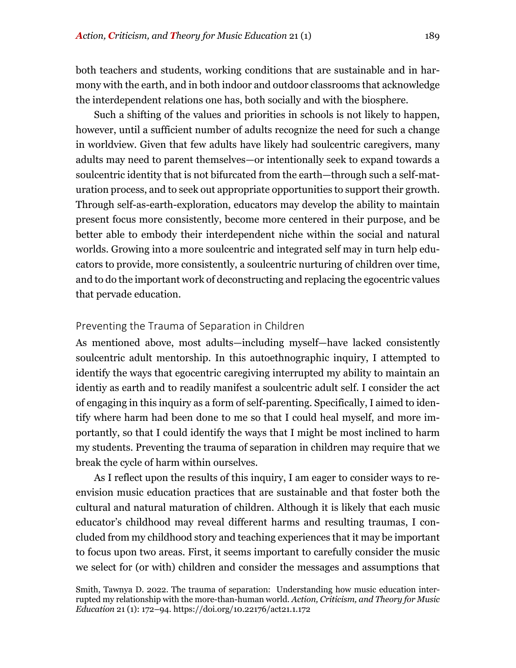both teachers and students, working conditions that are sustainable and in harmony with the earth, and in both indoor and outdoor classrooms that acknowledge the interdependent relations one has, both socially and with the biosphere.

Such a shifting of the values and priorities in schools is not likely to happen, however, until a sufficient number of adults recognize the need for such a change in worldview. Given that few adults have likely had soulcentric caregivers, many adults may need to parent themselves—or intentionally seek to expand towards a soulcentric identity that is not bifurcated from the earth—through such a self-maturation process, and to seek out appropriate opportunities to support their growth. Through self-as-earth-exploration, educators may develop the ability to maintain present focus more consistently, become more centered in their purpose, and be better able to embody their interdependent niche within the social and natural worlds. Growing into a more soulcentric and integrated self may in turn help educators to provide, more consistently, a soulcentric nurturing of children over time, and to do the important work of deconstructing and replacing the egocentric values that pervade education.

#### Preventing the Trauma of Separation in Children

As mentioned above, most adults—including myself—have lacked consistently soulcentric adult mentorship. In this autoethnographic inquiry, I attempted to identify the ways that egocentric caregiving interrupted my ability to maintain an identiy as earth and to readily manifest a soulcentric adult self. I consider the act of engaging in this inquiry as a form of self-parenting. Specifically, I aimed to identify where harm had been done to me so that I could heal myself, and more importantly, so that I could identify the ways that I might be most inclined to harm my students. Preventing the trauma of separation in children may require that we break the cycle of harm within ourselves.

As I reflect upon the results of this inquiry, I am eager to consider ways to reenvision music education practices that are sustainable and that foster both the cultural and natural maturation of children. Although it is likely that each music educator's childhood may reveal different harms and resulting traumas, I concluded from my childhood story and teaching experiences that it may be important to focus upon two areas. First, it seems important to carefully consider the music we select for (or with) children and consider the messages and assumptions that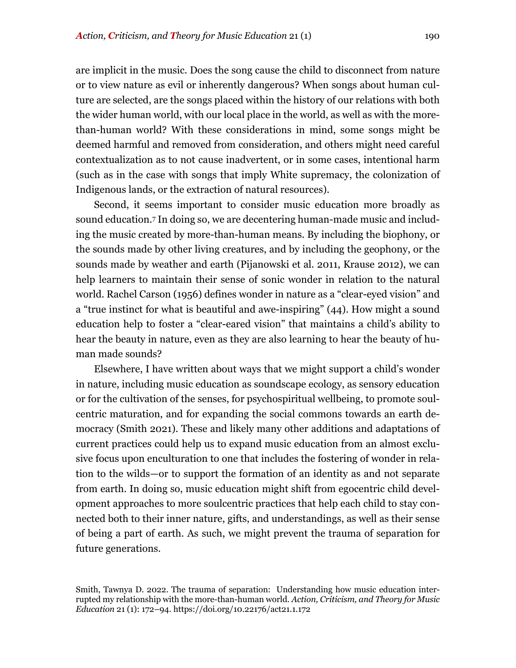are implicit in the music. Does the song cause the child to disconnect from nature or to view nature as evil or inherently dangerous? When songs about human culture are selected, are the songs placed within the history of our relations with both the wider human world, with our local place in the world, as well as with the morethan-human world? With these considerations in mind, some songs might be deemed harmful and removed from consideration, and others might need careful contextualization as to not cause inadvertent, or in some cases, intentional harm (such as in the case with songs that imply White supremacy, the colonization of Indigenous lands, or the extraction of natural resources).

Second, it seems important to consider music education more broadly as sound education.7 In doing so, we are decentering human-made music and including the music created by more-than-human means. By including the biophony, or the sounds made by other living creatures, and by including the geophony, or the sounds made by weather and earth (Pijanowski et al. 2011, Krause 2012), we can help learners to maintain their sense of sonic wonder in relation to the natural world. Rachel Carson (1956) defines wonder in nature as a "clear-eyed vision" and a "true instinct for what is beautiful and awe-inspiring" (44). How might a sound education help to foster a "clear-eared vision" that maintains a child's ability to hear the beauty in nature, even as they are also learning to hear the beauty of human made sounds?

Elsewhere, I have written about ways that we might support a child's wonder in nature, including music education as soundscape ecology, as sensory education or for the cultivation of the senses, for psychospiritual wellbeing, to promote soulcentric maturation, and for expanding the social commons towards an earth democracy (Smith 2021). These and likely many other additions and adaptations of current practices could help us to expand music education from an almost exclusive focus upon enculturation to one that includes the fostering of wonder in relation to the wilds—or to support the formation of an identity as and not separate from earth. In doing so, music education might shift from egocentric child development approaches to more soulcentric practices that help each child to stay connected both to their inner nature, gifts, and understandings, as well as their sense of being a part of earth. As such, we might prevent the trauma of separation for future generations.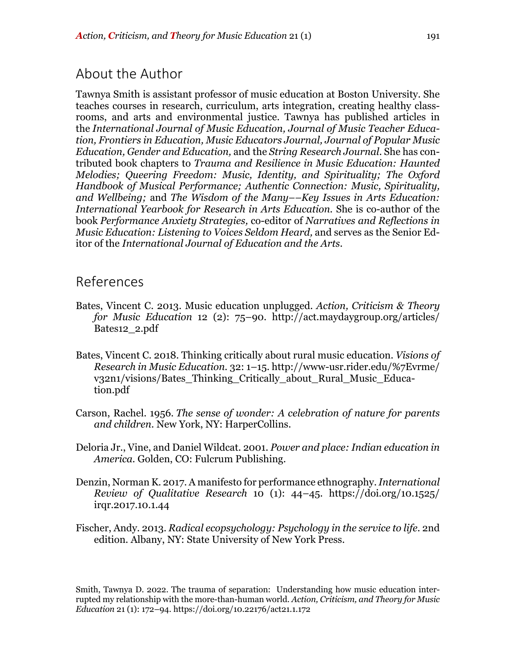## About the Author

Tawnya Smith is assistant professor of music education at Boston University. She teaches courses in research, curriculum, arts integration, creating healthy classrooms, and arts and environmental justice. Tawnya has published articles in the *International Journal of Music Education, Journal of Music Teacher Education, Frontiers in Education, Music Educators Journal, Journal of Popular Music Education, Gender and Education,* and the *String Research Journal*. She has contributed book chapters to *Trauma and Resilience in Music Education: Haunted Melodies; Queering Freedom: Music, Identity, and Spirituality; The Oxford Handbook of Musical Performance; Authentic Connection: Music, Spirituality, and Wellbeing;* and *The Wisdom of the Many––Key Issues in Arts Education: International Yearbook for Research in Arts Education.* She is co-author of the book *Performance Anxiety Strategies,* co-editor of *Narratives and Reflections in Music Education: Listening to Voices Seldom Heard,* and serves as the Senior Editor of the *International Journal of Education and the Arts.*

## References

- Bates, Vincent C. 2013. Music education unplugged. *Action, Criticism & Theory for Music Education* 12 (2): 75–90. http://act.maydaygroup.org/articles/ Bates12\_2.pdf
- Bates, Vincent C. 2018. Thinking critically about rural music education. *Visions of Research in Music Education.* 32: 1–15. http://www-usr.rider.edu/%7Evrme/ v32n1/visions/Bates\_Thinking\_Critically\_about\_Rural\_Music\_Education.pdf
- Carson, Rachel. 1956. *The sense of wonder: A celebration of nature for parents and children.* New York, NY: HarperCollins.
- Deloria Jr., Vine, and Daniel Wildcat. 2001. *Power and place: Indian education in America.* Golden, CO: Fulcrum Publishing.
- Denzin, Norman K. 2017. A manifesto for performance ethnography.*International Review of Qualitative Research* 10 (1): 44–45. https://doi.org/10.1525/ irqr.2017.10.1.44
- Fischer, Andy. 2013. *Radical ecopsychology: Psychology in the service to life.* 2nd edition. Albany, NY: State University of New York Press.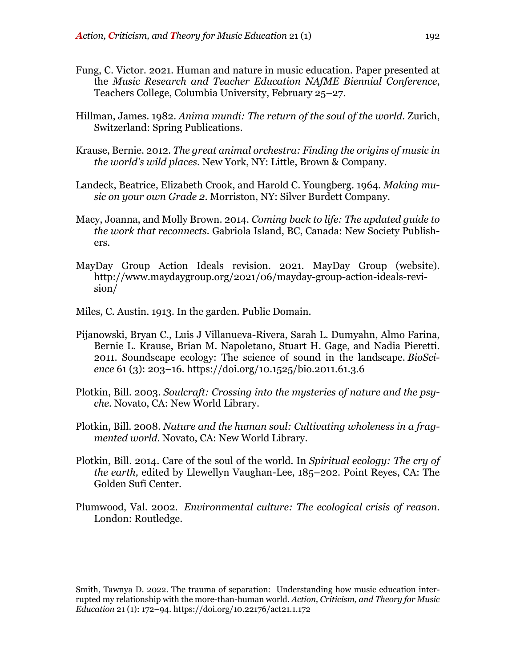- Fung, C. Victor. 2021. Human and nature in music education. Paper presented at the *Music Research and Teacher Education NAfME Biennial Conference*, Teachers College, Columbia University, February 25–27.
- Hillman, James. 1982. *Anima mundi: The return of the soul of the world.* Zurich, Switzerland: Spring Publications.
- Krause, Bernie. 2012. *The great animal orchestra: Finding the origins of music in the world's wild places.* New York, NY: Little, Brown & Company.
- Landeck, Beatrice, Elizabeth Crook, and Harold C. Youngberg. 1964. *Making music on your own Grade 2*. Morriston, NY: Silver Burdett Company.
- Macy, Joanna, and Molly Brown. 2014. *Coming back to life: The updated guide to the work that reconnects.* Gabriola Island, BC, Canada: New Society Publishers.
- MayDay Group Action Ideals revision. 2021. MayDay Group (website). http://www.maydaygroup.org/2021/06/mayday-group-action-ideals-revision/
- Miles, C. Austin. 1913. In the garden*.* Public Domain.
- Pijanowski, Bryan C., Luis J Villanueva-Rivera, Sarah L. Dumyahn, Almo Farina, Bernie L. Krause, Brian M. Napoletano, Stuart H. Gage, and Nadia Pieretti. 2011. Soundscape ecology: The science of sound in the landscape. *BioScience* 61 (3): 203–16. https://doi.org/10.1525/bio.2011.61.3.6
- Plotkin, Bill. 2003. *Soulcraft: Crossing into the mysteries of nature and the psyche.* Novato, CA: New World Library.
- Plotkin, Bill. 2008. *Nature and the human soul: Cultivating wholeness in a fragmented world.* Novato, CA: New World Library.
- Plotkin, Bill. 2014. Care of the soul of the world. In *Spiritual ecology: The cry of the earth,* edited by Llewellyn Vaughan-Lee, 185–202. Point Reyes, CA: The Golden Sufi Center.
- Plumwood, Val. 2002. *Environmental culture: The ecological crisis of reason.* London: Routledge.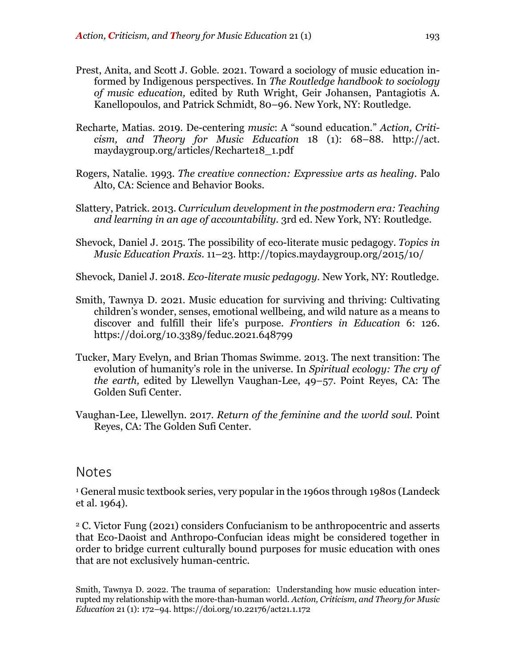- Prest, Anita, and Scott J. Goble. 2021. Toward a sociology of music education informed by Indigenous perspectives. In *The Routledge handbook to sociology of music education,* edited by Ruth Wright, Geir Johansen, Pantagiotis A. Kanellopoulos, and Patrick Schmidt, 80–96. New York, NY: Routledge.
- Recharte, Matias. 2019. De-centering *music*: A "sound education." *Action, Criticism, and Theory for Music Education* 18 (1): 68–88. http://act. maydaygroup.org/articles/Recharte18\_1.pdf
- Rogers, Natalie. 1993. *The creative connection: Expressive arts as healing.* Palo Alto, CA: Science and Behavior Books.
- Slattery, Patrick. 2013. *Curriculum development in the postmodern era: Teaching and learning in an age of accountability.* 3rd ed. New York, NY: Routledge.
- Shevock, Daniel J. 2015. The possibility of eco-literate music pedagogy. *Topics in Music Education Praxis*. 11–23. http://topics.maydaygroup.org/2015/10/

Shevock, Daniel J. 2018. *Eco-literate music pedagogy.* New York, NY: Routledge.

- Smith, Tawnya D. 2021. Music education for surviving and thriving: Cultivating children's wonder, senses, emotional wellbeing, and wild nature as a means to discover and fulfill their life's purpose. *Frontiers in Education* 6: 126. https://doi.org/10.3389/feduc.2021.648799
- Tucker, Mary Evelyn, and Brian Thomas Swimme. 2013. The next transition: The evolution of humanity's role in the universe. In *Spiritual ecology: The cry of the earth,* edited by Llewellyn Vaughan-Lee, 49–57. Point Reyes, CA: The Golden Sufi Center.
- Vaughan-Lee, Llewellyn. 2017. *Return of the feminine and the world soul.* Point Reyes, CA: The Golden Sufi Center.

### Notes

<sup>1</sup> General music textbook series, very popular in the 1960s through 1980s (Landeck et al. 1964).

<sup>2</sup> C. Victor Fung (2021) considers Confucianism to be anthropocentric and asserts that Eco-Daoist and Anthropo-Confucian ideas might be considered together in order to bridge current culturally bound purposes for music education with ones that are not exclusively human-centric.